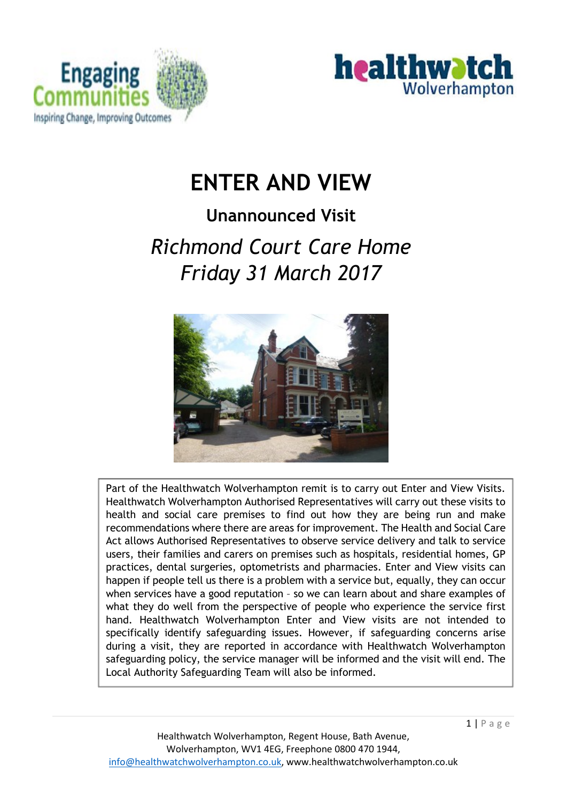



# **ENTER AND VIEW**

# **Unannounced Visit**  *Richmond Court Care Home Friday 31 March 2017*



Part of the Healthwatch Wolverhampton remit is to carry out Enter and View Visits. Healthwatch Wolverhampton Authorised Representatives will carry out these visits to health and social care premises to find out how they are being run and make recommendations where there are areas for improvement. The Health and Social Care Act allows Authorised Representatives to observe service delivery and talk to service users, their families and carers on premises such as hospitals, residential homes, GP practices, dental surgeries, optometrists and pharmacies. Enter and View visits can happen if people tell us there is a problem with a service but, equally, they can occur when services have a good reputation – so we can learn about and share examples of what they do well from the perspective of people who experience the service first hand. Healthwatch Wolverhampton Enter and View visits are not intended to specifically identify safeguarding issues. However, if safeguarding concerns arise during a visit, they are reported in accordance with Healthwatch Wolverhampton safeguarding policy, the service manager will be informed and the visit will end. The Local Authority Safeguarding Team will also be informed.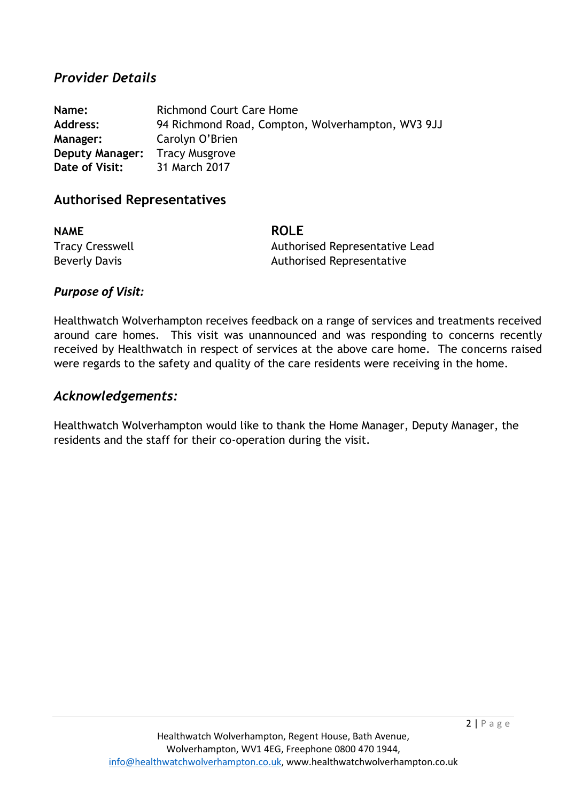#### *Provider Details*

**Name: Richmond Court Care Home Address:** 94 Richmond Road, Compton, Wolverhampton, WV3 9JJ **Manager:** Carolyn O'Brien **Deputy Manager:** Tracy Musgrove **Date of Visit:** 31 March 2017

#### **Authorised Representatives**

**NAME ROLE**

Tracy Cresswell **Tracy Cresswell** Authorised Representative Lead Beverly Davis **Beverly Davis Authorised Representative** 

#### *Purpose of Visit:*

Healthwatch Wolverhampton receives feedback on a range of services and treatments received around care homes. This visit was unannounced and was responding to concerns recently received by Healthwatch in respect of services at the above care home. The concerns raised were regards to the safety and quality of the care residents were receiving in the home.

#### *Acknowledgements:*

Healthwatch Wolverhampton would like to thank the Home Manager, Deputy Manager, the residents and the staff for their co-operation during the visit.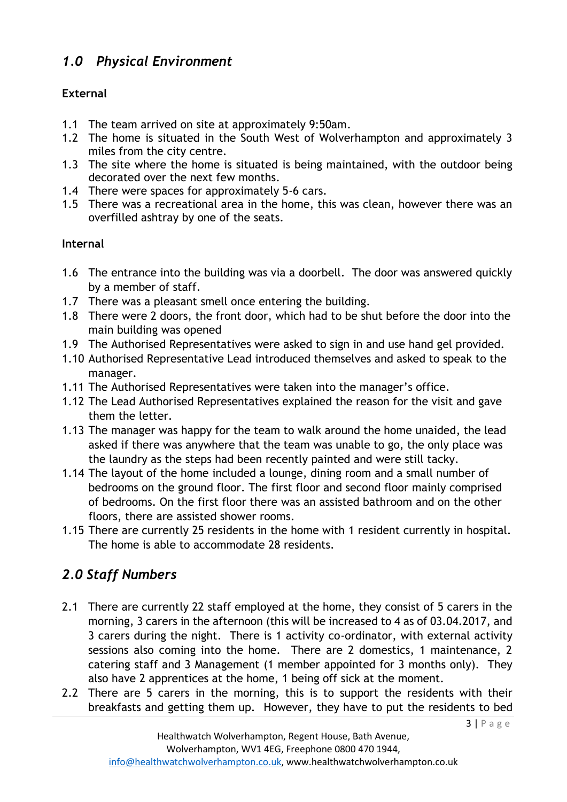# *1.0 Physical Environment*

## **External**

- 1.1 The team arrived on site at approximately 9:50am.
- 1.2 The home is situated in the South West of Wolverhampton and approximately 3 miles from the city centre.
- 1.3 The site where the home is situated is being maintained, with the outdoor being decorated over the next few months.
- 1.4 There were spaces for approximately 5-6 cars.
- 1.5 There was a recreational area in the home, this was clean, however there was an overfilled ashtray by one of the seats.

### **Internal**

- 1.6 The entrance into the building was via a doorbell. The door was answered quickly by a member of staff.
- 1.7 There was a pleasant smell once entering the building.
- 1.8 There were 2 doors, the front door, which had to be shut before the door into the main building was opened
- 1.9 The Authorised Representatives were asked to sign in and use hand gel provided.
- 1.10 Authorised Representative Lead introduced themselves and asked to speak to the manager.
- 1.11 The Authorised Representatives were taken into the manager's office.
- 1.12 The Lead Authorised Representatives explained the reason for the visit and gave them the letter.
- 1.13 The manager was happy for the team to walk around the home unaided, the lead asked if there was anywhere that the team was unable to go, the only place was the laundry as the steps had been recently painted and were still tacky.
- 1.14 The layout of the home included a lounge, dining room and a small number of bedrooms on the ground floor. The first floor and second floor mainly comprised of bedrooms. On the first floor there was an assisted bathroom and on the other floors, there are assisted shower rooms.
- 1.15 There are currently 25 residents in the home with 1 resident currently in hospital. The home is able to accommodate 28 residents.

# *2.0 Staff Numbers*

- 2.1 There are currently 22 staff employed at the home, they consist of 5 carers in the morning, 3 carers in the afternoon (this will be increased to 4 as of 03.04.2017, and 3 carers during the night. There is 1 activity co-ordinator, with external activity sessions also coming into the home. There are 2 domestics, 1 maintenance, 2 catering staff and 3 Management (1 member appointed for 3 months only). They also have 2 apprentices at the home, 1 being off sick at the moment.
- 2.2 There are 5 carers in the morning, this is to support the residents with their breakfasts and getting them up. However, they have to put the residents to bed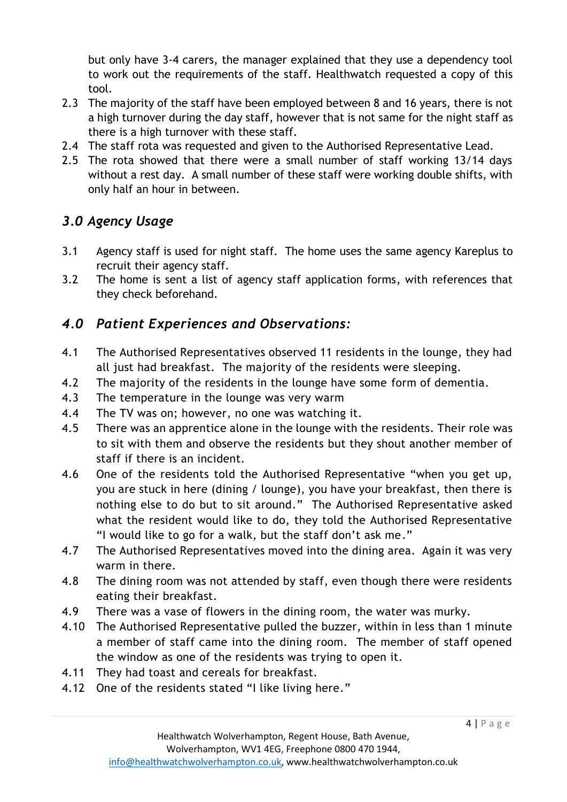but only have 3-4 carers, the manager explained that they use a dependency tool to work out the requirements of the staff. Healthwatch requested a copy of this tool.

- 2.3 The majority of the staff have been employed between 8 and 16 years, there is not a high turnover during the day staff, however that is not same for the night staff as there is a high turnover with these staff.
- 2.4 The staff rota was requested and given to the Authorised Representative Lead.
- 2.5 The rota showed that there were a small number of staff working 13/14 days without a rest day. A small number of these staff were working double shifts, with only half an hour in between.

## *3.0 Agency Usage*

- 3.1 Agency staff is used for night staff. The home uses the same agency Kareplus to recruit their agency staff.
- 3.2 The home is sent a list of agency staff application forms, with references that they check beforehand.

## *4.0 Patient Experiences and Observations:*

- 4.1 The Authorised Representatives observed 11 residents in the lounge, they had all just had breakfast. The majority of the residents were sleeping.
- 4.2 The majority of the residents in the lounge have some form of dementia.
- 4.3 The temperature in the lounge was very warm
- 4.4 The TV was on; however, no one was watching it.
- 4.5 There was an apprentice alone in the lounge with the residents. Their role was to sit with them and observe the residents but they shout another member of staff if there is an incident.
- 4.6 One of the residents told the Authorised Representative "when you get up, you are stuck in here (dining / lounge), you have your breakfast, then there is nothing else to do but to sit around." The Authorised Representative asked what the resident would like to do, they told the Authorised Representative "I would like to go for a walk, but the staff don't ask me."
- 4.7 The Authorised Representatives moved into the dining area. Again it was very warm in there.
- 4.8 The dining room was not attended by staff, even though there were residents eating their breakfast.
- 4.9 There was a vase of flowers in the dining room, the water was murky.
- 4.10 The Authorised Representative pulled the buzzer, within in less than 1 minute a member of staff came into the dining room. The member of staff opened the window as one of the residents was trying to open it.
- 4.11 They had toast and cereals for breakfast.
- 4.12 One of the residents stated "I like living here."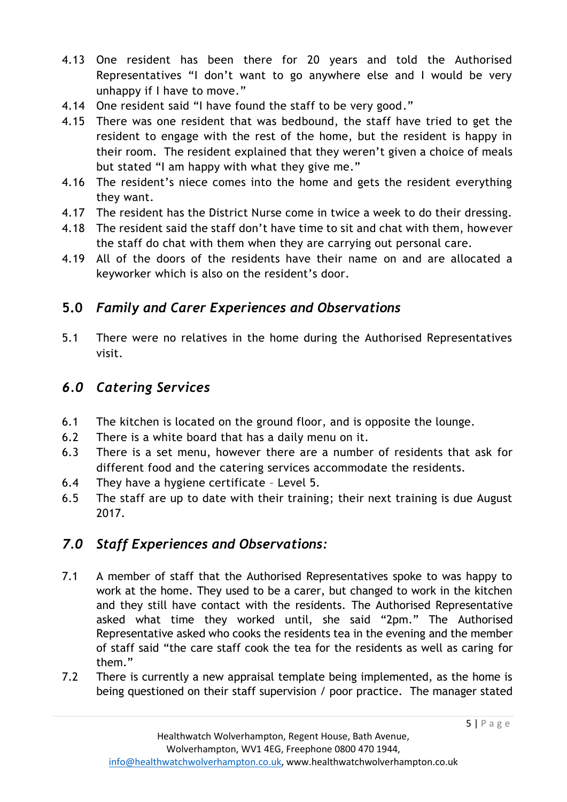- 4.13 One resident has been there for 20 years and told the Authorised Representatives "I don't want to go anywhere else and I would be very unhappy if I have to move."
- 4.14 One resident said "I have found the staff to be very good."
- 4.15 There was one resident that was bedbound, the staff have tried to get the resident to engage with the rest of the home, but the resident is happy in their room. The resident explained that they weren't given a choice of meals but stated "I am happy with what they give me."
- 4.16 The resident's niece comes into the home and gets the resident everything they want.
- 4.17 The resident has the District Nurse come in twice a week to do their dressing.
- 4.18 The resident said the staff don't have time to sit and chat with them, however the staff do chat with them when they are carrying out personal care.
- 4.19 All of the doors of the residents have their name on and are allocated a keyworker which is also on the resident's door.

# **5.0** *Family and Carer Experiences and Observations*

5.1 There were no relatives in the home during the Authorised Representatives visit.

# *6.0 Catering Services*

- 6.1 The kitchen is located on the ground floor, and is opposite the lounge.
- 6.2 There is a white board that has a daily menu on it.
- 6.3 There is a set menu, however there are a number of residents that ask for different food and the catering services accommodate the residents.
- 6.4 They have a hygiene certificate Level 5.
- 6.5 The staff are up to date with their training; their next training is due August 2017.

# *7.0 Staff Experiences and Observations:*

- 7.1 A member of staff that the Authorised Representatives spoke to was happy to work at the home. They used to be a carer, but changed to work in the kitchen and they still have contact with the residents. The Authorised Representative asked what time they worked until, she said "2pm." The Authorised Representative asked who cooks the residents tea in the evening and the member of staff said "the care staff cook the tea for the residents as well as caring for them."
- 7.2 There is currently a new appraisal template being implemented, as the home is being questioned on their staff supervision / poor practice. The manager stated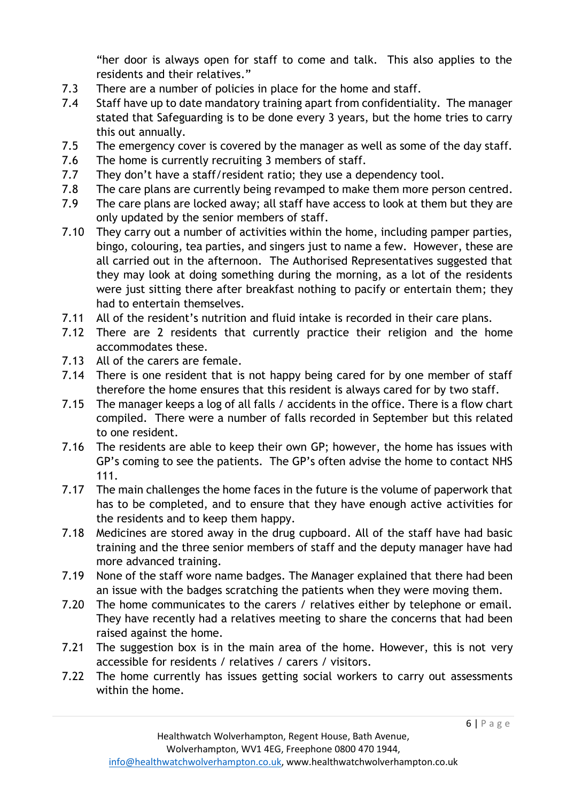"her door is always open for staff to come and talk. This also applies to the residents and their relatives."

- 7.3 There are a number of policies in place for the home and staff.
- 7.4 Staff have up to date mandatory training apart from confidentiality. The manager stated that Safeguarding is to be done every 3 years, but the home tries to carry this out annually.
- 7.5 The emergency cover is covered by the manager as well as some of the day staff.
- 7.6 The home is currently recruiting 3 members of staff.
- 7.7 They don't have a staff/resident ratio; they use a dependency tool.
- 7.8 The care plans are currently being revamped to make them more person centred.
- 7.9 The care plans are locked away; all staff have access to look at them but they are only updated by the senior members of staff.
- 7.10 They carry out a number of activities within the home, including pamper parties, bingo, colouring, tea parties, and singers just to name a few. However, these are all carried out in the afternoon. The Authorised Representatives suggested that they may look at doing something during the morning, as a lot of the residents were just sitting there after breakfast nothing to pacify or entertain them; they had to entertain themselves.
- 7.11 All of the resident's nutrition and fluid intake is recorded in their care plans.
- 7.12 There are 2 residents that currently practice their religion and the home accommodates these.
- 7.13 All of the carers are female.
- 7.14 There is one resident that is not happy being cared for by one member of staff therefore the home ensures that this resident is always cared for by two staff.
- 7.15 The manager keeps a log of all falls / accidents in the office. There is a flow chart compiled. There were a number of falls recorded in September but this related to one resident.
- 7.16 The residents are able to keep their own GP; however, the home has issues with GP's coming to see the patients. The GP's often advise the home to contact NHS 111.
- 7.17 The main challenges the home faces in the future is the volume of paperwork that has to be completed, and to ensure that they have enough active activities for the residents and to keep them happy.
- 7.18 Medicines are stored away in the drug cupboard. All of the staff have had basic training and the three senior members of staff and the deputy manager have had more advanced training.
- 7.19 None of the staff wore name badges. The Manager explained that there had been an issue with the badges scratching the patients when they were moving them.
- 7.20 The home communicates to the carers / relatives either by telephone or email. They have recently had a relatives meeting to share the concerns that had been raised against the home.
- 7.21 The suggestion box is in the main area of the home. However, this is not very accessible for residents / relatives / carers / visitors.
- 7.22 The home currently has issues getting social workers to carry out assessments within the home.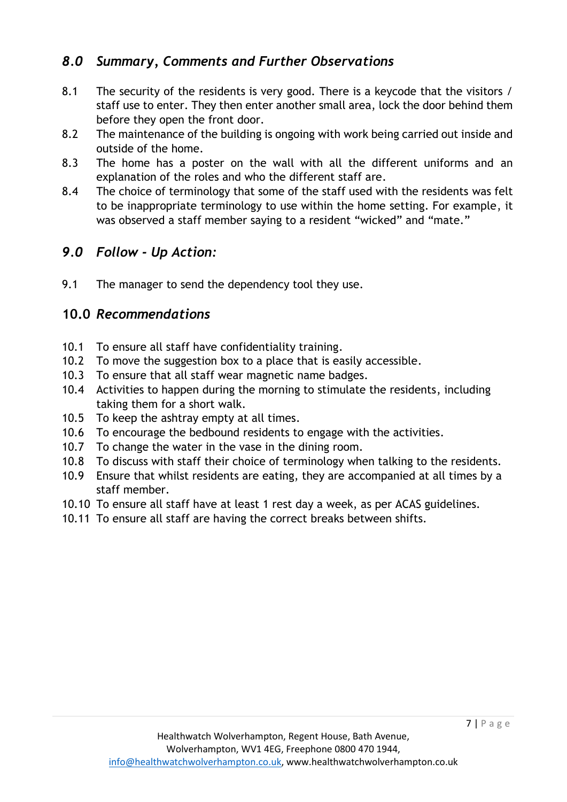## *8.0 Summary, Comments and Further Observations*

- 8.1 The security of the residents is very good. There is a keycode that the visitors / staff use to enter. They then enter another small area, lock the door behind them before they open the front door.
- 8.2 The maintenance of the building is ongoing with work being carried out inside and outside of the home.
- 8.3 The home has a poster on the wall with all the different uniforms and an explanation of the roles and who the different staff are.
- 8.4 The choice of terminology that some of the staff used with the residents was felt to be inappropriate terminology to use within the home setting. For example, it was observed a staff member saying to a resident "wicked" and "mate."

## *9.0 Follow - Up Action:*

9.1 The manager to send the dependency tool they use.

## **10.0** *Recommendations*

- 10.1 To ensure all staff have confidentiality training.
- 10.2 To move the suggestion box to a place that is easily accessible.
- 10.3 To ensure that all staff wear magnetic name badges.
- 10.4 Activities to happen during the morning to stimulate the residents, including taking them for a short walk.
- 10.5 To keep the ashtray empty at all times.
- 10.6 To encourage the bedbound residents to engage with the activities.
- 10.7 To change the water in the vase in the dining room.
- 10.8 To discuss with staff their choice of terminology when talking to the residents.
- 10.9 Ensure that whilst residents are eating, they are accompanied at all times by a staff member.
- 10.10 To ensure all staff have at least 1 rest day a week, as per ACAS guidelines.
- 10.11 To ensure all staff are having the correct breaks between shifts.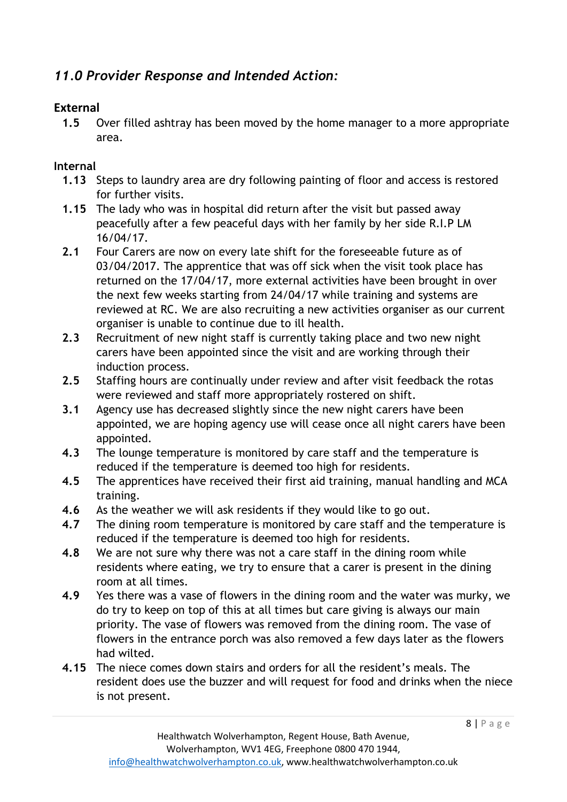# *11.0 Provider Response and Intended Action:*

#### **External**

**1.5** Over filled ashtray has been moved by the home manager to a more appropriate area.

#### **Internal**

- **1.13** Steps to laundry area are dry following painting of floor and access is restored for further visits.
- **1.15** The lady who was in hospital did return after the visit but passed away peacefully after a few peaceful days with her family by her side R.I.P LM 16/04/17.
- **2.1** Four Carers are now on every late shift for the foreseeable future as of 03/04/2017. The apprentice that was off sick when the visit took place has returned on the 17/04/17, more external activities have been brought in over the next few weeks starting from 24/04/17 while training and systems are reviewed at RC. We are also recruiting a new activities organiser as our current organiser is unable to continue due to ill health.
- **2.3** Recruitment of new night staff is currently taking place and two new night carers have been appointed since the visit and are working through their induction process.
- **2.5** Staffing hours are continually under review and after visit feedback the rotas were reviewed and staff more appropriately rostered on shift.
- **3.1** Agency use has decreased slightly since the new night carers have been appointed, we are hoping agency use will cease once all night carers have been appointed.
- **4.3** The lounge temperature is monitored by care staff and the temperature is reduced if the temperature is deemed too high for residents.
- **4.5** The apprentices have received their first aid training, manual handling and MCA training.
- **4.6** As the weather we will ask residents if they would like to go out.
- **4.7** The dining room temperature is monitored by care staff and the temperature is reduced if the temperature is deemed too high for residents.
- **4.8** We are not sure why there was not a care staff in the dining room while residents where eating, we try to ensure that a carer is present in the dining room at all times.
- **4.9** Yes there was a vase of flowers in the dining room and the water was murky, we do try to keep on top of this at all times but care giving is always our main priority. The vase of flowers was removed from the dining room. The vase of flowers in the entrance porch was also removed a few days later as the flowers had wilted.
- **4.15** The niece comes down stairs and orders for all the resident's meals. The resident does use the buzzer and will request for food and drinks when the niece is not present.